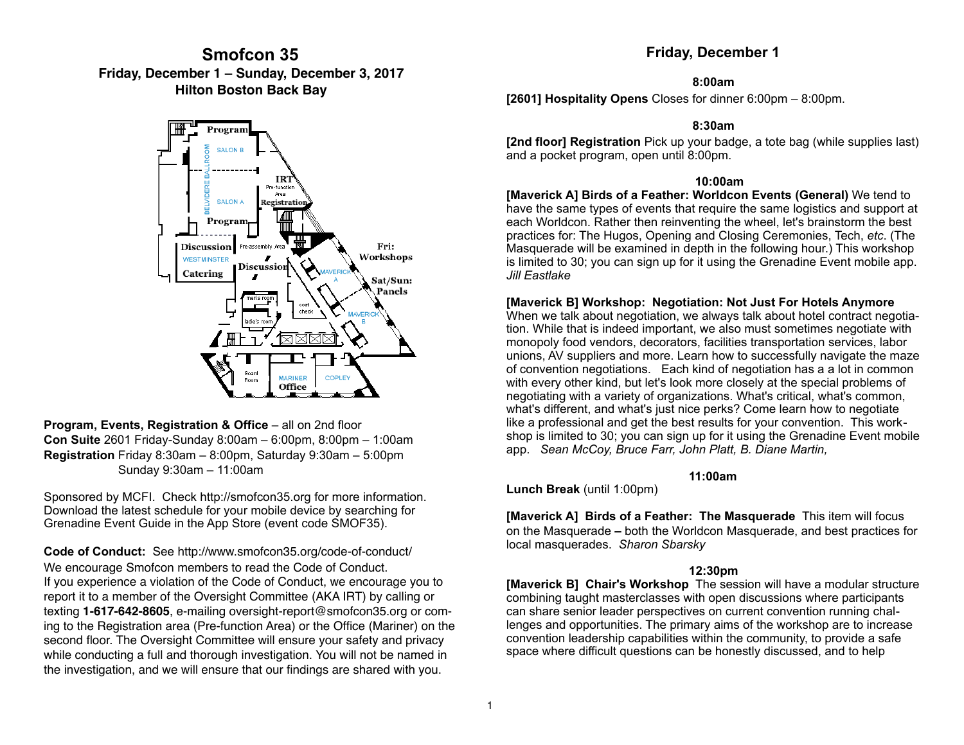# **Smofcon 35 Friday, December 1 – Sunday, December 3, 2017 Hilton Boston Back Bay**



**Program, Events, Registration & Office** – all on 2nd floor **Con Suite** 2601 Friday-Sunday 8:00am – 6:00pm, 8:00pm – 1:00am **Registration** Friday 8:30am – 8:00pm, Saturday 9:30am – 5:00pm Sunday 9:30am – 11:00am

Sponsored by MCFI. Check http://smofcon35.org for more information. Download the latest schedule for your mobile device by searching for Grenadine Event Guide in the App Store (event code SMOF35).

**Code of Conduct:** See <http://www.smofcon35.org/code-of-conduct/> We encourage Smofcon members to read the Code of Conduct. If you experience a violation of the Code of Conduct, we encourage you to report it to a member of the Oversight Committee (AKA IRT) by calling or texting **1-617-642-8605**, e-mailing [oversight-report@smofcon35.org](mailto:oversight-report@smofcon35.org) or coming to the Registration area (Pre-function Area) or the Office (Mariner) on the second floor. The Oversight Committee will ensure your safety and privacy while conducting a full and thorough investigation. You will not be named in the investigation, and we will ensure that our findings are shared with you.

## **Friday, December 1**

#### **8:00am**

**[2601] Hospitality Opens** Closes for dinner 6:00pm – 8:00pm.

#### **8:30am**

**[2nd floor] Registration** Pick up your badge, a tote bag (while supplies last) and a pocket program, open until 8:00pm.

## **10:00am**

**[Maverick A] Birds of a Feather: Worldcon Events (General)** We tend to have the same types of events that require the same logistics and support at each Worldcon. Rather then reinventing the wheel, let's brainstorm the best practices for: The Hugos, Opening and Closing Ceremonies, Tech, *etc*. (The Masquerade will be examined in depth in the following hour.) This workshop is limited to 30; you can sign up for it using the Grenadine Event mobile app. *Jill Eastlake*

## **[Maverick B] Workshop: Negotiation: Not Just For Hotels Anymore**

When we talk about negotiation, we always talk about hotel contract negotiation. While that is indeed important, we also must sometimes negotiate with monopoly food vendors, decorators, facilities transportation services, labor unions, AV suppliers and more. Learn how to successfully navigate the maze of convention negotiations. Each kind of negotiation has a a lot in common with every other kind, but let's look more closely at the special problems of negotiating with a variety of organizations. What's critical, what's common, what's different, and what's just nice perks? Come learn how to negotiate like a professional and get the best results for your convention. This workshop is limited to 30; you can sign up for it using the Grenadine Event mobile app. *Sean McCoy, Bruce Farr, John Platt, B. Diane Martin,*

## **11:00am**

**Lunch Break** (until 1:00pm)

**[Maverick A] Birds of a Feather: The Masquerade** This item will focus on the Masquerade **–** both the Worldcon Masquerade, and best practices for local masquerades. *Sharon Sbarsky* 

## **12:30pm**

**[Maverick B] Chair's Workshop** The session will have a modular structure combining taught masterclasses with open discussions where participants can share senior leader perspectives on current convention running challenges and opportunities. The primary aims of the workshop are to increase convention leadership capabilities within the community, to provide a safe space where difficult questions can be honestly discussed, and to help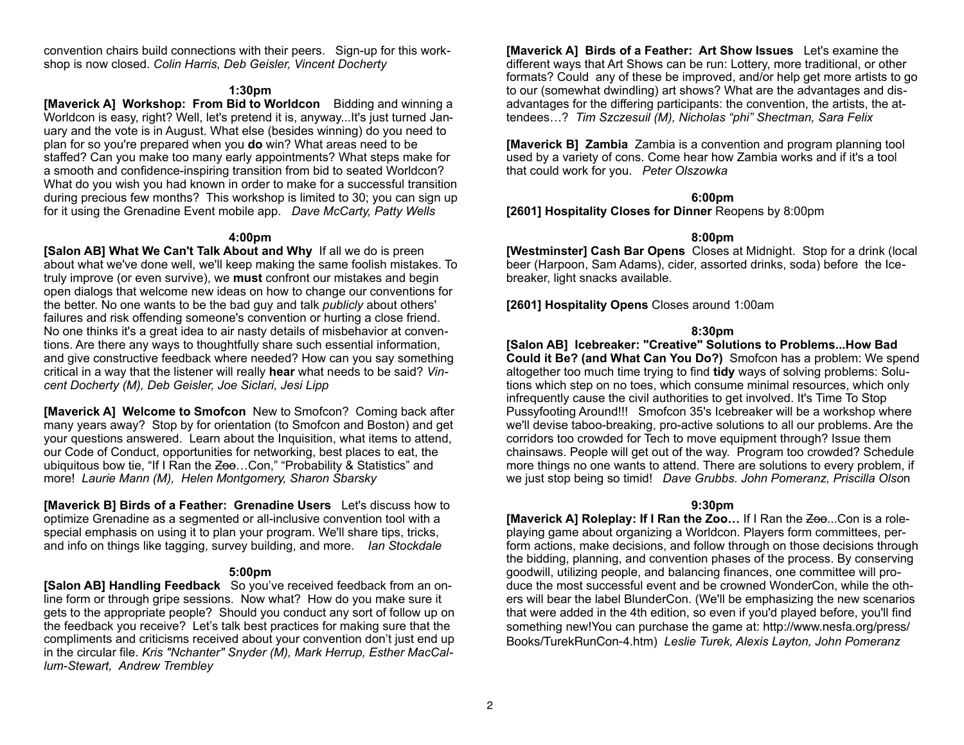convention chairs build connections with their peers. Sign-up for this workshop is now closed. *Colin Harris, Deb Geisler, Vincent Docherty*

#### **1:30pm**

**[Maverick A] Workshop: From Bid to Worldcon** Bidding and winning a Worldcon is easy, right? Well, let's pretend it is, anyway...It's just turned January and the vote is in August. What else (besides winning) do you need to plan for so you're prepared when you **do** win? What areas need to be staffed? Can you make too many early appointments? What steps make for a smooth and confidence-inspiring transition from bid to seated Worldcon? What do you wish you had known in order to make for a successful transition during precious few months? This workshop is limited to 30; you can sign up for it using the Grenadine Event mobile app. *Dave McCarty, Patty Wells* 

#### **4:00pm**

**[Salon AB] What We Can't Talk About and Why** If all we do is preen about what we've done well, we'll keep making the same foolish mistakes. To truly improve (or even survive), we **must** confront our mistakes and begin open dialogs that welcome new ideas on how to change our conventions for the better. No one wants to be the bad guy and talk *publicly* about others' failures and risk offending someone's convention or hurting a close friend. No one thinks it's a great idea to air nasty details of misbehavior at conventions. Are there any ways to thoughtfully share such essential information, and give constructive feedback where needed? How can you say something critical in a way that the listener will really **hear** what needs to be said? *Vincent Docherty (M), Deb Geisler, Joe Siclari, Jesi Lipp*

**[Maverick A] Welcome to Smofcon** New to Smofcon? Coming back after many years away? Stop by for orientation (to Smofcon and Boston) and get your questions answered. Learn about the Inquisition, what items to attend, our Code of Conduct, opportunities for networking, best places to eat, the ubiquitous bow tie, "If I Ran the Zoo...Con," "Probability & Statistics" and more! *Laurie Mann (M), Helen Montgomery, Sharon Sbarsky*

**[Maverick B] Birds of a Feather: Grenadine Users** Let's discuss how to optimize Grenadine as a segmented or all-inclusive convention tool with a special emphasis on using it to plan your program. We'll share tips, tricks, and info on things like tagging, survey building, and more. *Ian Stockdale* 

#### **5:00pm**

**[Salon AB] Handling Feedback** So you've received feedback from an online form or through gripe sessions. Now what? How do you make sure it gets to the appropriate people? Should you conduct any sort of follow up on the feedback you receive? Let's talk best practices for making sure that the compliments and criticisms received about your convention don't just end up in the circular file. *Kris "Nchanter" Snyder (M), Mark Herrup, Esther MacCallum-Stewart, Andrew Trembley*

**[Maverick A] Birds of a Feather: Art Show Issues** Let's examine the different ways that Art Shows can be run: Lottery, more traditional, or other formats? Could any of these be improved, and/or help get more artists to go to our (somewhat dwindling) art shows? What are the advantages and disadvantages for the differing participants: the convention, the artists, the attendees…? *Tim Szczesuil (M), Nicholas "phi" Shectman, Sara Felix*

**[Maverick B] Zambia** Zambia is a convention and program planning tool used by a variety of cons. Come hear how Zambia works and if it's a tool that could work for you. *Peter Olszowka*

#### **6:00pm**

**[2601] Hospitality Closes for Dinner** Reopens by 8:00pm

## **8:00pm**

**[Westminster] Cash Bar Opens** Closes at Midnight. Stop for a drink (local beer (Harpoon, Sam Adams), cider, assorted drinks, soda) before the Icebreaker, light snacks available.

**[2601] Hospitality Opens** Closes around 1:00am

## **8:30pm**

**[Salon AB] Icebreaker: "Creative" Solutions to Problems...How Bad Could it Be? (and What Can You Do?)** Smofcon has a problem: We spend altogether too much time trying to find **tidy** ways of solving problems: Solutions which step on no toes, which consume minimal resources, which only infrequently cause the civil authorities to get involved. It's Time To Stop Pussyfooting Around!!! Smofcon 35's Icebreaker will be a workshop where we'll devise taboo-breaking, pro-active solutions to all our problems. Are the corridors too crowded for Tech to move equipment through? Issue them chainsaws. People will get out of the way. Program too crowded? Schedule more things no one wants to attend. There are solutions to every problem, if we just stop being so timid! *Dave Grubbs. John Pomeranz, Priscilla Olso*n

## **9:30pm**

**[Maverick A] Roleplay: If I Ran the Zoo...** If I Ran the Zoo...Con is a roleplaying game about organizing a Worldcon. Players form committees, perform actions, make decisions, and follow through on those decisions through the bidding, planning, and convention phases of the process. By conserving goodwill, utilizing people, and balancing finances, one committee will produce the most successful event and be crowned WonderCon, while the others will bear the label BlunderCon. (We'll be emphasizing the new scenarios that were added in the 4th edition, so even if you'd played before, you'll find something new!You can purchase the game at: [http://www.nesfa.org/press/](http://www.nesfa.org/press/Books/TurekRunCon-4.htm) [Books/TurekRunCon-4.htm](http://www.nesfa.org/press/Books/TurekRunCon-4.htm)) *Leslie Turek, Alexis Layton, John Pomeranz*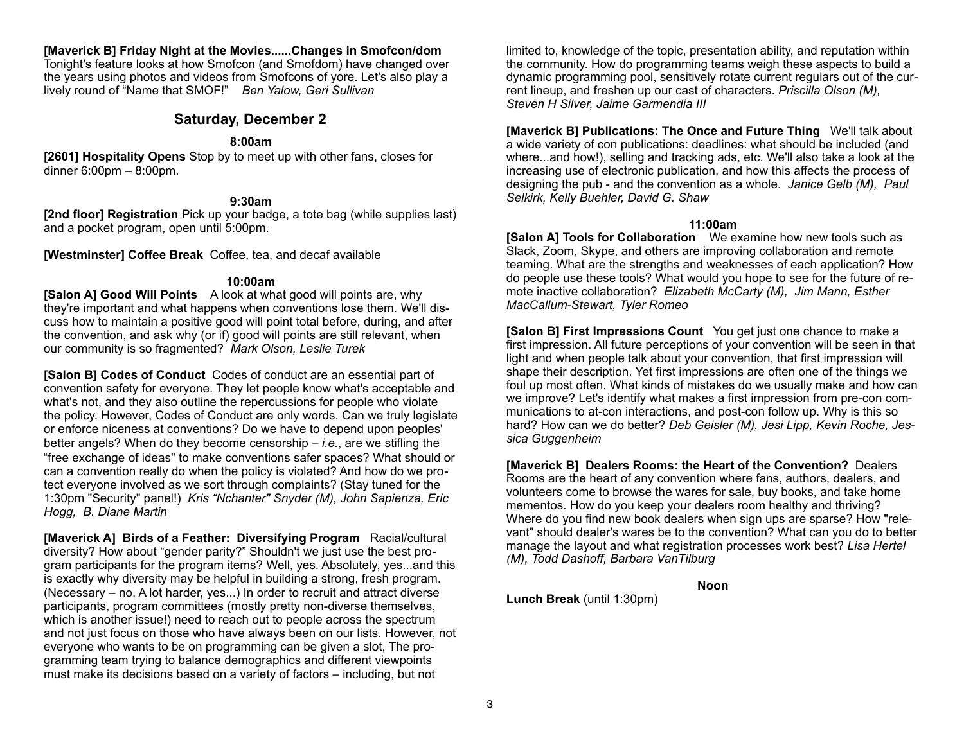#### **[Maverick B] Friday Night at the Movies......Changes in Smofcon/dom**

Tonight's feature looks at how Smofcon (and Smofdom) have changed over the years using photos and videos from Smofcons of yore. Let's also play a lively round of "Name that SMOF!" *Ben Yalow, Geri Sullivan*

## **Saturday, December 2**

#### **8:00am**

**[2601] Hospitality Opens** Stop by to meet up with other fans, closes for dinner 6:00pm – 8:00pm.

#### **9:30am**

**[2nd floor] Registration** Pick up your badge, a tote bag (while supplies last) and a pocket program, open until 5:00pm.

**[Westminster] Coffee Break** Coffee, tea, and decaf available

#### **10:00am**

**[Salon A] Good Will Points** A look at what good will points are, why they're important and what happens when conventions lose them. We'll discuss how to maintain a positive good will point total before, during, and after the convention, and ask why (or if) good will points are still relevant, when our community is so fragmented? *Mark Olson, Leslie Turek*

**[Salon B] Codes of Conduct** Codes of conduct are an essential part of convention safety for everyone. They let people know what's acceptable and what's not, and they also outline the repercussions for people who violate the policy. However, Codes of Conduct are only words. Can we truly legislate or enforce niceness at conventions? Do we have to depend upon peoples' better angels? When do they become censorship – *i.e.*, are we stifling the "free exchange of ideas" to make conventions safer spaces? What should or can a convention really do when the policy is violated? And how do we protect everyone involved as we sort through complaints? (Stay tuned for the 1:30pm "Security" panel!) *Kris "Nchanter" Snyder (M), John Sapienza, Eric Hogg, B. Diane Martin*

**[Maverick A] Birds of a Feather: Diversifying Program** Racial/cultural diversity? How about "gender parity?" Shouldn't we just use the best program participants for the program items? Well, yes. Absolutely, yes...and this is exactly why diversity may be helpful in building a strong, fresh program. (Necessary – no. A lot harder, yes...) In order to recruit and attract diverse participants, program committees (mostly pretty non-diverse themselves, which is another issue!) need to reach out to people across the spectrum and not just focus on those who have always been on our lists. However, not everyone who wants to be on programming can be given a slot, The programming team trying to balance demographics and different viewpoints must make its decisions based on a variety of factors – including, but not

limited to, knowledge of the topic, presentation ability, and reputation within the community. How do programming teams weigh these aspects to build a dynamic programming pool, sensitively rotate current regulars out of the current lineup, and freshen up our cast of characters. *Priscilla Olson (M), Steven H Silver, Jaime Garmendia III*

**[Maverick B] Publications: The Once and Future Thing** We'll talk about a wide variety of con publications: deadlines: what should be included (and where...and how!), selling and tracking ads, etc. We'll also take a look at the increasing use of electronic publication, and how this affects the process of designing the pub - and the convention as a whole. *Janice Gelb (M), Paul Selkirk, Kelly Buehler, David G. Shaw*

## **11:00am**

**[Salon A] Tools for Collaboration** We examine how new tools such as Slack, Zoom, Skype, and others are improving collaboration and remote teaming. What are the strengths and weaknesses of each application? How do people use these tools? What would you hope to see for the future of remote inactive collaboration? *Elizabeth McCarty (M), Jim Mann, Esther MacCallum-Stewart, Tyler Romeo*

**[Salon B] First Impressions Count** You get just one chance to make a first impression. All future perceptions of your convention will be seen in that light and when people talk about your convention, that first impression will shape their description. Yet first impressions are often one of the things we foul up most often. What kinds of mistakes do we usually make and how can we improve? Let's identify what makes a first impression from pre-con communications to at-con interactions, and post-con follow up. Why is this so hard? How can we do better? *Deb Geisler (M), Jesi Lipp, Kevin Roche, Jessica Guggenheim*

**[Maverick B] Dealers Rooms: the Heart of the Convention?** Dealers Rooms are the heart of any convention where fans, authors, dealers, and volunteers come to browse the wares for sale, buy books, and take home mementos. How do you keep your dealers room healthy and thriving? Where do you find new book dealers when sign ups are sparse? How "relevant" should dealer's wares be to the convention? What can you do to better manage the layout and what registration processes work best? *Lisa Hertel (M), Todd Dashoff, Barbara VanTilburg*

**Noon**

**Lunch Break** (until 1:30pm)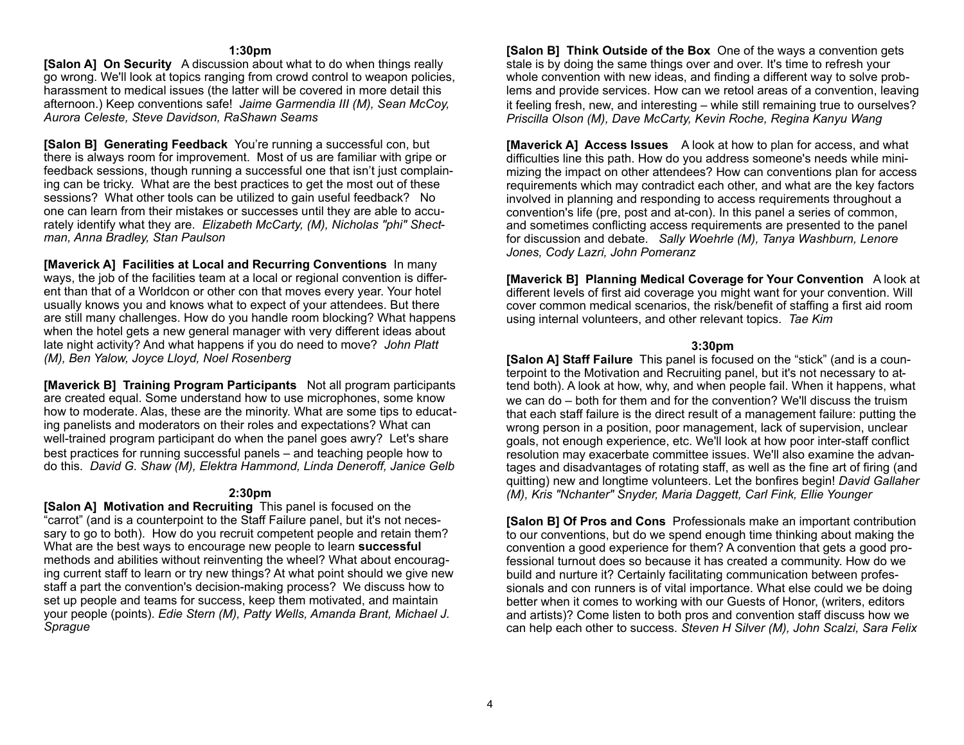#### **1:30pm**

**[Salon A] On Security** A discussion about what to do when things really go wrong. We'll look at topics ranging from crowd control to weapon policies, harassment to medical issues (the latter will be covered in more detail this afternoon.) Keep conventions safe! *Jaime Garmendia III (M), Sean McCoy, Aurora Celeste, Steve Davidson, RaShawn Seams*

**[Salon B] Generating Feedback** You're running a successful con, but there is always room for improvement. Most of us are familiar with gripe or feedback sessions, though running a successful one that isn't just complaining can be tricky. What are the best practices to get the most out of these sessions? What other tools can be utilized to gain useful feedback? No one can learn from their mistakes or successes until they are able to accurately identify what they are. *Elizabeth McCarty, (M), Nicholas "phi" Shectman, Anna Bradley, Stan Paulson* 

**[Maverick A] Facilities at Local and Recurring Conventions** In many ways, the job of the facilities team at a local or regional convention is different than that of a Worldcon or other con that moves every year. Your hotel usually knows you and knows what to expect of your attendees. But there are still many challenges. How do you handle room blocking? What happens when the hotel gets a new general manager with very different ideas about late night activity? And what happens if you do need to move? *John Platt (M), Ben Yalow, Joyce Lloyd, Noel Rosenberg*

**[Maverick B] Training Program Participants** Not all program participants are created equal. Some understand how to use microphones, some know how to moderate. Alas, these are the minority. What are some tips to educating panelists and moderators on their roles and expectations? What can well-trained program participant do when the panel goes awry? Let's share best practices for running successful panels – and teaching people how to do this. *David G. Shaw (M), Elektra Hammond, Linda Deneroff, Janice Gelb*

#### **2:30pm**

**[Salon A] Motivation and Recruiting** This panel is focused on the "carrot" (and is a counterpoint to the Staff Failure panel, but it's not necessary to go to both). How do you recruit competent people and retain them? What are the best ways to encourage new people to learn **successful** methods and abilities without reinventing the wheel? What about encouraging current staff to learn or try new things? At what point should we give new staff a part the convention's decision-making process? We discuss how to set up people and teams for success, keep them motivated, and maintain your people (points). *Edie Stern (M), Patty Wells, Amanda Brant, Michael J. Sprague*

**[Salon B] Think Outside of the Box** One of the ways a convention gets stale is by doing the same things over and over. It's time to refresh your whole convention with new ideas, and finding a different way to solve problems and provide services. How can we retool areas of a convention, leaving it feeling fresh, new, and interesting – while still remaining true to ourselves? *Priscilla Olson (M), Dave McCarty, Kevin Roche, Regina Kanyu Wang*

**[Maverick A] Access Issues** A look at how to plan for access, and what difficulties line this path. How do you address someone's needs while minimizing the impact on other attendees? How can conventions plan for access requirements which may contradict each other, and what are the key factors involved in planning and responding to access requirements throughout a convention's life (pre, post and at-con). In this panel a series of common, and sometimes conflicting access requirements are presented to the panel for discussion and debate. *Sally Woehrle (M), Tanya Washburn, Lenore Jones, Cody Lazri, John Pomeranz*

**[Maverick B] Planning Medical Coverage for Your Convention** A look at different levels of first aid coverage you might want for your convention. Will cover common medical scenarios, the risk/benefit of staffing a first aid room using internal volunteers, and other relevant topics. *Tae Kim*

#### **3:30pm**

**[Salon A] Staff Failure** This panel is focused on the "stick" (and is a counterpoint to the Motivation and Recruiting panel, but it's not necessary to attend both). A look at how, why, and when people fail. When it happens, what we can do – both for them and for the convention? We'll discuss the truism that each staff failure is the direct result of a management failure: putting the wrong person in a position, poor management, lack of supervision, unclear goals, not enough experience, etc. We'll look at how poor inter-staff conflict resolution may exacerbate committee issues. We'll also examine the advantages and disadvantages of rotating staff, as well as the fine art of firing (and quitting) new and longtime volunteers. Let the bonfires begin! *David Gallaher (M), Kris "Nchanter" Snyder, Maria Daggett, Carl Fink, Ellie Younger*

**[Salon B] Of Pros and Cons** Professionals make an important contribution to our conventions, but do we spend enough time thinking about making the convention a good experience for them? A convention that gets a good professional turnout does so because it has created a community. How do we build and nurture it? Certainly facilitating communication between professionals and con runners is of vital importance. What else could we be doing better when it comes to working with our Guests of Honor, (writers, editors and artists)? Come listen to both pros and convention staff discuss how we can help each other to success. *Steven H Silver (M), John Scalzi, Sara Felix*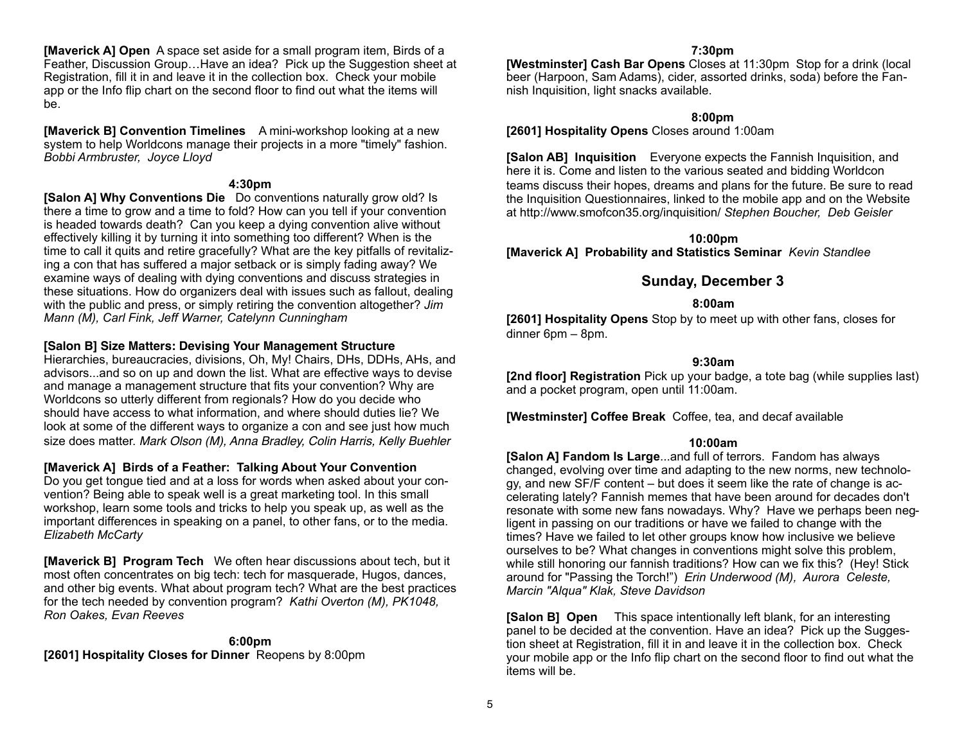**[Maverick A] Open** A space set aside for a small program item, Birds of a Feather, Discussion Group…Have an idea? Pick up the Suggestion sheet at Registration, fill it in and leave it in the collection box. Check your mobile app or the Info flip chart on the second floor to find out what the items will be.

**[Maverick B] Convention Timelines** A mini-workshop looking at a new system to help Worldcons manage their projects in a more "timely" fashion. *Bobbi Armbruster, Joyce Lloyd*

#### **4:30pm**

**[Salon A] Why Conventions Die** Do conventions naturally grow old? Is there a time to grow and a time to fold? How can you tell if your convention is headed towards death? Can you keep a dying convention alive without effectively killing it by turning it into something too different? When is the time to call it quits and retire gracefully? What are the key pitfalls of revitalizing a con that has suffered a major setback or is simply fading away? We examine ways of dealing with dying conventions and discuss strategies in these situations. How do organizers deal with issues such as fallout, dealing with the public and press, or simply retiring the convention altogether? *Jim Mann (M), Carl Fink, Jeff Warner, Catelynn Cunningham*

## **[Salon B] Size Matters: Devising Your Management Structure**

Hierarchies, bureaucracies, divisions, Oh, My! Chairs, DHs, DDHs, AHs, and advisors...and so on up and down the list. What are effective ways to devise and manage a management structure that fits your convention? Why are Worldcons so utterly different from regionals? How do you decide who should have access to what information, and where should duties lie? We look at some of the different ways to organize a con and see just how much size does matter. *Mark Olson (M), Anna Bradley, Colin Harris, Kelly Buehler*

## **[Maverick A] Birds of a Feather: Talking About Your Convention**

Do you get tongue tied and at a loss for words when asked about your convention? Being able to speak well is a great marketing tool. In this small workshop, learn some tools and tricks to help you speak up, as well as the important differences in speaking on a panel, to other fans, or to the media. *Elizabeth McCarty* 

**[Maverick B] Program Tech** We often hear discussions about tech, but it most often concentrates on big tech: tech for masquerade, Hugos, dances, and other big events. What about program tech? What are the best practices for the tech needed by convention program? *Kathi Overton (M), PK1048, Ron Oakes, Evan Reeves*

## **6:00pm**

**[2601] Hospitality Closes for Dinner** Reopens by 8:00pm

## **7:30pm**

**[Westminster] Cash Bar Opens** Closes at 11:30pm Stop for a drink (local beer (Harpoon, Sam Adams), cider, assorted drinks, soda) before the Fannish Inquisition, light snacks available.

## **8:00pm**

**[2601] Hospitality Opens** Closes around 1:00am

**[Salon AB] Inquisition** Everyone expects the Fannish Inquisition, and here it is. Come and listen to the various seated and bidding Worldcon teams discuss their hopes, dreams and plans for the future. Be sure to read the Inquisition Questionnaires, linked to the mobile app and on the Website at http://www.smofcon35.org/inquisition/ *Stephen Boucher, Deb Geisler*

**10:00pm [Maverick A] Probability and Statistics Seminar** *Kevin Standlee*

## **Sunday, December 3**

## **8:00am**

**[2601] Hospitality Opens** Stop by to meet up with other fans, closes for dinner 6pm – 8pm.

#### **9:30am**

**[2nd floor] Registration** Pick up your badge, a tote bag (while supplies last) and a pocket program, open until 11:00am.

**[Westminster] Coffee Break** Coffee, tea, and decaf available

#### **10:00am**

**[Salon A] Fandom Is Large**...and full of terrors. Fandom has always changed, evolving over time and adapting to the new norms, new technology, and new SF/F content – but does it seem like the rate of change is accelerating lately? Fannish memes that have been around for decades don't resonate with some new fans nowadays. Why? Have we perhaps been negligent in passing on our traditions or have we failed to change with the times? Have we failed to let other groups know how inclusive we believe ourselves to be? What changes in conventions might solve this problem, while still honoring our fannish traditions? How can we fix this? (Hey! Stick around for "Passing the Torch!") *Erin Underwood (M), Aurora Celeste, Marcin "Alqua" Klak, Steve Davidson*

**[Salon B] Open** This space intentionally left blank, for an interesting panel to be decided at the convention. Have an idea? Pick up the Suggestion sheet at Registration, fill it in and leave it in the collection box. Check your mobile app or the Info flip chart on the second floor to find out what the items will be.